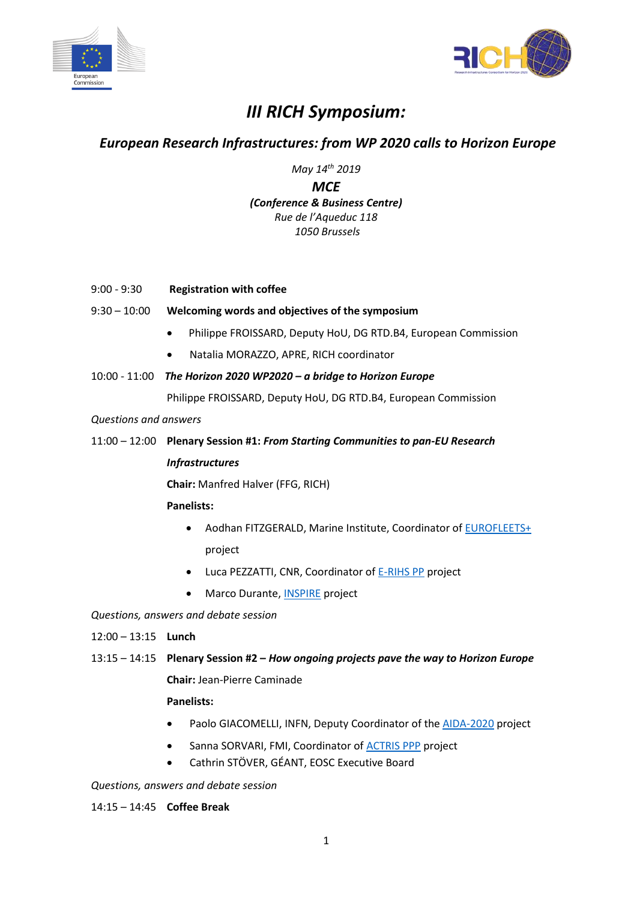



# *III RICH Symposium:*

## *European Research Infrastructures: from WP 2020 calls to Horizon Europe*

*May 14th 2019*

*MCE (Conference & Business Centre) Rue de l'Aqueduc 118 1050 Brussels*

- 9:00 9:30 **Registration with coffee**
- 9:30 10:00 **Welcoming words and objectives of the symposium**
	- Philippe FROISSARD, Deputy HoU, DG RTD.B4, European Commission
	- Natalia MORAZZO, APRE, RICH coordinator
- 10:00 11:00 *The Horizon 2020 WP2020 – a bridge to Horizon Europe*

Philippe FROISSARD, Deputy HoU, DG RTD.B4, European Commission

*Questions and answers*

11:00 – 12:00 **Plenary Session #1:** *From Starting Communities to pan-EU Research Infrastructures*

**Chair:** Manfred Halver (FFG, RICH)

### **Panelists:**

- Aodhan FITZGERALD, Marine Institute, Coordinator o[f EUROFLEETS+](http://www.eurofleets.eu/np4/home.html) project
- Luca PEZZATTI, CNR, Coordinator o[f E-RIHS](http://www.e-rihs.eu/) PP project
- Marco Durante, **INSPIRE** project

*Questions, answers and debate session*

12:00 – 13:15 **Lunch**

13:15 – 14:15 **Plenary Session #2 –** *How ongoing projects pave the way to Horizon Europe*

**Chair:** Jean-Pierre Caminade

### **Panelists:**

- Paolo GIACOMELLI, INFN, Deputy Coordinator of the [AIDA-2020](http://aida2020.web.cern.ch/) project
- Sanna SORVARI, FMI, Coordinator of [ACTRIS PPP](https://www.actris.eu/Projects/ACTRISPPP(2017-2019).aspx) project
- Cathrin STÖVER, GÉANT, EOSC Executive Board

*Questions, answers and debate session*

14:15 – 14:45 **Coffee Break**